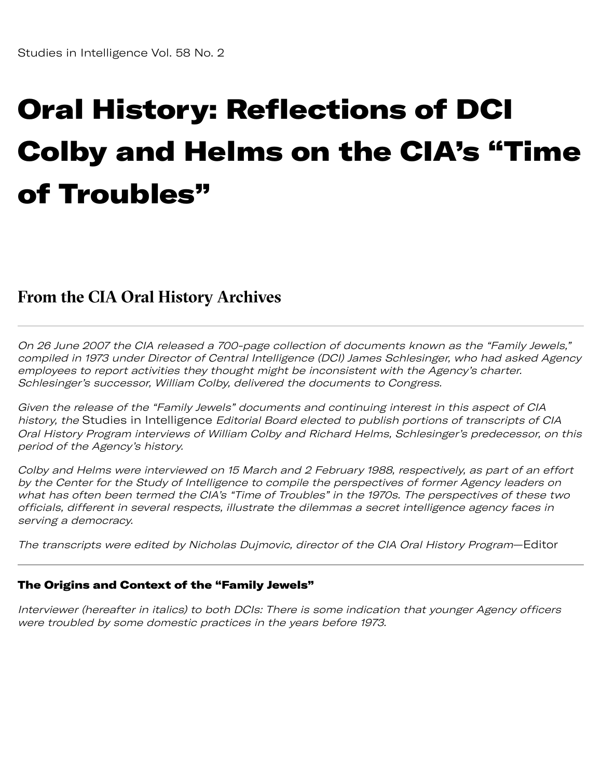# Oral History: Reflections of DCI Colby and Helms on the CIA's "Time of Troubles"

### <span id="page-0-0"></span>**From the CIA Oral History Archives**

On 26 June 2007 the CIA released a 700-page collection of documents known as the "Family Jewels," compiled in 1973 under Director of Central Intelligence (DCI) James Schlesinger, who had asked Agency employees to report activities they thought might be inconsistent with the Agency's charter. Schlesinger's successor, William Colby, delivered the documents to Congress.

Given the release of the "Family Jewels" documents and continuing interest in this aspect of CIA history, the Studies in Intelligence Editorial Board elected to publish portions of transcripts of CIA Oral History Program interviews of William Colby and Richard Helms, Schlesinger's predecessor, on this period of the Agency's history.

Colby and Helms were interviewed on 15 March and 2 February 1988, respectively, as part of an effort by the Center for the Study of Intelligence to compile the perspectives of former Agency leaders on what has often been termed the CIA's "Time of Troubles" in the 1970s. The perspectives of these two officials, different in several respects, illustrate the dilemmas a secret intelligence agency faces in serving a democracy.

The transcripts were edited by Nicholas Dujmovic, director of the CIA Oral History Program—Editor

#### The Origins and Context of the "Family Jewels"

Interviewer (hereafter in italics) to both DCIs: There is some indication that younger Agency officers were troubled by some domestic practices in the years before 1973.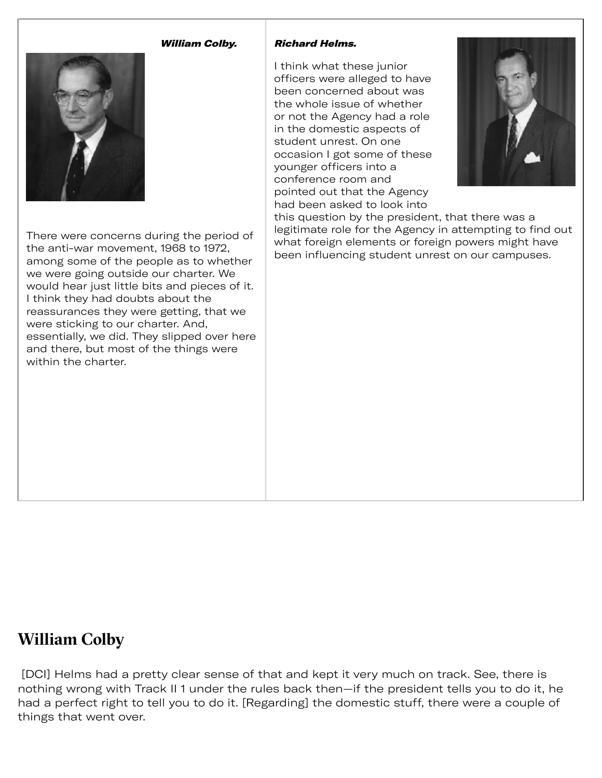There were concerns during the period of the anti-war movement, 1968 to 1972, among some of the people as to whether we were going outside our charter. We would hear just little bits and pieces of it. I think they had doubts about the reassurances they were getting, that we were sticking to our charter. And, essentially, we did. They slipped over here and there, but most of the things were within the charter.

William Colby.

#### Richard Helms.

I think what these junior officers were alleged to have been concerned about was the whole issue of whether or not the Agency had a role in the domestic aspects of student unrest. On one occasion I got some of these younger officers into a conference room and pointed out that the Agency had been asked to look into



this question by the president, that there was a legitimate role for the Agency in attempting to find out what foreign elements or foreign powers might have been influencing student unrest on our campuses.

### **William Colby**

 [DCI] Helms had a pretty clear sense of that and kept it very much on track. See, there is nothing wrong with Track II [1](#page-21-0) under the rules back then—if the president tells you to do it, he had a perfect right to tell you to do it. [Regarding] the domestic stuff, there were a couple of things that went over.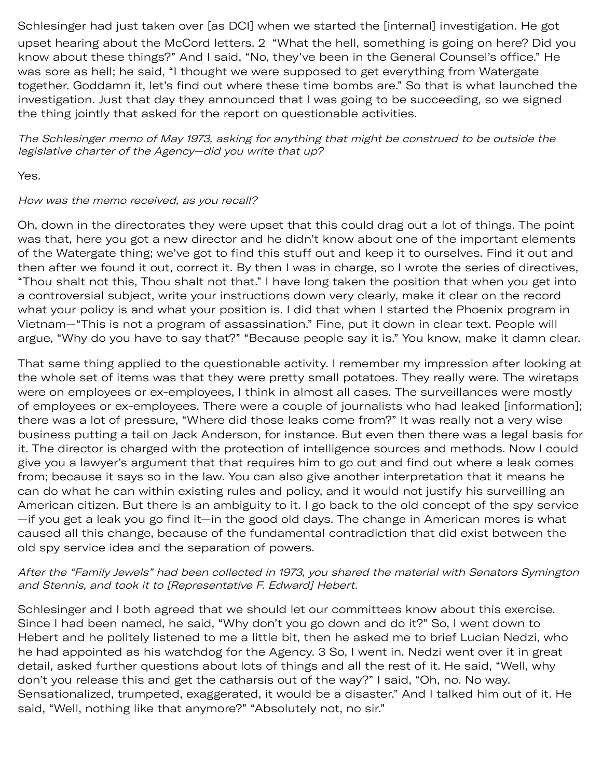Schlesinger had just taken over [as DCI] when we started the [internal] investigation. He got

upset hearing about the McCord letters. [2](#page-21-1) "What the hell, something is going on here? Did you know about these things?" And I said, "No, they've been in the General Counsel's office." He was sore as hell; he said, "I thought we were supposed to get everything from Watergate together. Goddamn it, let's find out where these time bombs are." So that is what launched the investigation. Just that day they announced that I was going to be succeeding, so we signed the thing jointly that asked for the report on questionable activities.

The Schlesinger memo of May 1973, asking for anything that might be construed to be outside the legislative charter of the Agency—did you write that up?

Yes.

#### How was the memo received, as you recall?

Oh, down in the directorates they were upset that this could drag out a lot of things. The point was that, here you got a new director and he didn't know about one of the important elements of the Watergate thing; we've got to find this stuff out and keep it to ourselves. Find it out and then after we found it out, correct it. By then I was in charge, so I wrote the series of directives, "Thou shalt not this, Thou shalt not that." I have long taken the position that when you get into a controversial subject, write your instructions down very clearly, make it clear on the record what your policy is and what your position is. I did that when I started the Phoenix program in Vietnam—"This is not a program of assassination." Fine, put it down in clear text. People will argue, "Why do you have to say that?" "Because people say it is." You know, make it damn clear.

That same thing applied to the questionable activity. I remember my impression after looking at the whole set of items was that they were pretty small potatoes. They really were. The wiretaps were on employees or ex-employees, I think in almost all cases. The surveillances were mostly of employees or ex-employees. There were a couple of journalists who had leaked [information]; there was a lot of pressure, "Where did those leaks come from?" It was really not a very wise business putting a tail on Jack Anderson, for instance. But even then there was a legal basis for it. The director is charged with the protection of intelligence sources and methods. Now I could give you a lawyer's argument that that requires him to go out and find out where a leak comes from; because it says so in the law. You can also give another interpretation that it means he can do what he can within existing rules and policy, and it would not justify his surveilling an American citizen. But there is an ambiguity to it. I go back to the old concept of the spy service —if you get a leak you go find it—in the good old days. The change in American mores is what caused all this change, because of the fundamental contradiction that did exist between the old spy service idea and the separation of powers.

#### After the "Family Jewels" had been collected in 1973, you shared the material with Senators Symington and Stennis, and took it to [Representative F. Edward] Hebert.

Schlesinger and I both agreed that we should let our committees know about this exercise. Since I had been named, he said, "Why don't you go down and do it?" So, I went down to Hebert and he politely listened to me a little bit, then he asked me to brief Lucian Nedzi, who he had appointed as his watchdog for the Agency. [3](#page-22-0) So, I went in. Nedzi went over it in great detail, asked further questions about lots of things and all the rest of it. He said, "Well, why don't you release this and get the catharsis out of the way?" I said, "Oh, no. No way. Sensationalized, trumpeted, exaggerated, it would be a disaster." And I talked him out of it. He said, "Well, nothing like that anymore?" "Absolutely not, no sir."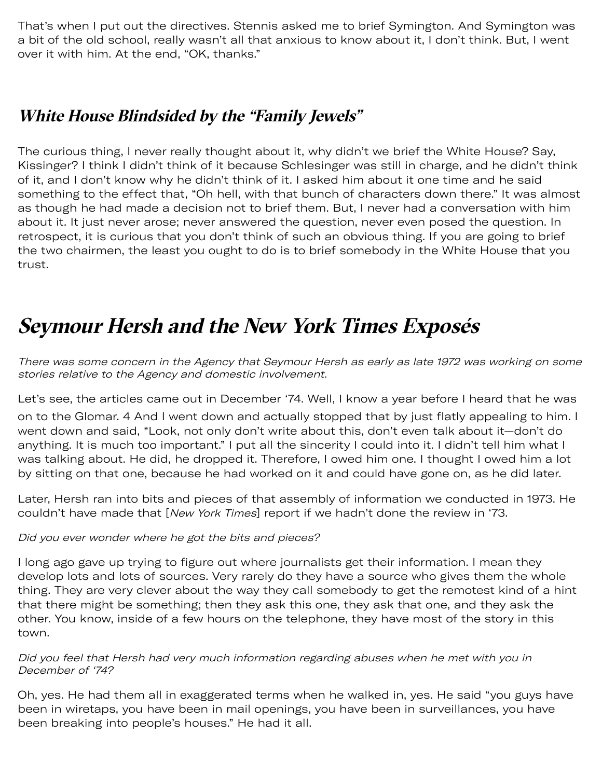That's when I put out the directives. Stennis asked me to brief Symington. And Symington was a bit of the old school, really wasn't all that anxious to know about it, I don't think. But, I went over it with him. At the end, "OK, thanks."

## **White House Blindsided by the "Family Jewels"**

The curious thing, I never really thought about it, why didn't we brief the White House? Say, Kissinger? I think I didn't think of it because Schlesinger was still in charge, and he didn't think of it, and I don't know why he didn't think of it. I asked him about it one time and he said something to the effect that, "Oh hell, with that bunch of characters down there." It was almost as though he had made a decision not to brief them. But, I never had a conversation with him about it. It just never arose; never answered the question, never even posed the question. In retrospect, it is curious that you don't think of such an obvious thing. If you are going to brief the two chairmen, the least you ought to do is to brief somebody in the White House that you trust.

# **Seymour Hersh and the New York Times Exposés**

There was some concern in the Agency that Seymour Hersh as early as late 1972 was working on some stories relative to the Agency and domestic involvement.

Let's see, the articles came out in December '74. Well, I know a year before I heard that he was

on to the Glomar. [4](#page-22-1) And I went down and actually stopped that by just flatly appealing to him. I went down and said, "Look, not only don't write about this, don't even talk about it—don't do anything. It is much too important." I put all the sincerity I could into it. I didn't tell him what I was talking about. He did, he dropped it. Therefore, I owed him one. I thought I owed him a lot by sitting on that one, because he had worked on it and could have gone on, as he did later.

Later, Hersh ran into bits and pieces of that assembly of information we conducted in 1973. He couldn't have made that [New York Times] report if we hadn't done the review in '73.

#### Did you ever wonder where he got the bits and pieces?

I long ago gave up trying to figure out where journalists get their information. I mean they develop lots and lots of sources. Very rarely do they have a source who gives them the whole thing. They are very clever about the way they call somebody to get the remotest kind of a hint that there might be something; then they ask this one, they ask that one, and they ask the other. You know, inside of a few hours on the telephone, they have most of the story in this town.

#### Did you feel that Hersh had very much information regarding abuses when he met with you in December of '74?

Oh, yes. He had them all in exaggerated terms when he walked in, yes. He said "you guys have been in wiretaps, you have been in mail openings, you have been in surveillances, you have been breaking into people's houses." He had it all.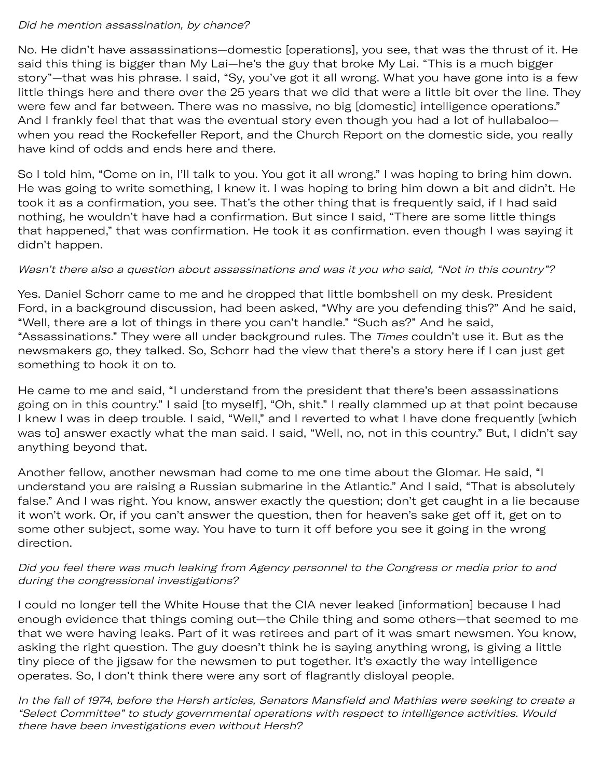#### Did he mention assassination, by chance?

No. He didn't have assassinations—domestic [operations], you see, that was the thrust of it. He said this thing is bigger than My Lai—he's the guy that broke My Lai. "This is a much bigger story"—that was his phrase. I said, "Sy, you've got it all wrong. What you have gone into is a few little things here and there over the 25 years that we did that were a little bit over the line. They were few and far between. There was no massive, no big [domestic] intelligence operations." And I frankly feel that that was the eventual story even though you had a lot of hullabaloo when you read the Rockefeller Report, and the Church Report on the domestic side, you really have kind of odds and ends here and there.

So I told him, "Come on in, I'll talk to you. You got it all wrong." I was hoping to bring him down. He was going to write something, I knew it. I was hoping to bring him down a bit and didn't. He took it as a confirmation, you see. That's the other thing that is frequently said, if I had said nothing, he wouldn't have had a confirmation. But since I said, "There are some little things that happened," that was confirmation. He took it as confirmation. even though I was saying it didn't happen.

#### Wasn't there also a question about assassinations and was it you who said, "Not in this country"?

Yes. Daniel Schorr came to me and he dropped that little bombshell on my desk. President Ford, in a background discussion, had been asked, "Why are you defending this?" And he said, "Well, there are a lot of things in there you can't handle." "Such as?" And he said, "Assassinations." They were all under background rules. The Times couldn't use it. But as the newsmakers go, they talked. So, Schorr had the view that there's a story here if I can just get something to hook it on to.

He came to me and said, "I understand from the president that there's been assassinations going on in this country." I said [to myself], "Oh, shit." I really clammed up at that point because I knew I was in deep trouble. I said, "Well," and I reverted to what I have done frequently [which was to] answer exactly what the man said. I said, "Well, no, not in this country." But, I didn't say anything beyond that.

Another fellow, another newsman had come to me one time about the Glomar. He said, "I understand you are raising a Russian submarine in the Atlantic." And I said, "That is absolutely false." And I was right. You know, answer exactly the question; don't get caught in a lie because it won't work. Or, if you can't answer the question, then for heaven's sake get off it, get on to some other subject, some way. You have to turn it off before you see it going in the wrong direction.

#### Did you feel there was much leaking from Agency personnel to the Congress or media prior to and during the congressional investigations?

I could no longer tell the White House that the CIA never leaked [information] because I had enough evidence that things coming out—the Chile thing and some others—that seemed to me that we were having leaks. Part of it was retirees and part of it was smart newsmen. You know, asking the right question. The guy doesn't think he is saying anything wrong, is giving a little tiny piece of the jigsaw for the newsmen to put together. It's exactly the way intelligence operates. So, I don't think there were any sort of flagrantly disloyal people.

In the fall of 1974, before the Hersh articles, Senators Mansfield and Mathias were seeking to create a "Select Committee" to study governmental operations with respect to intelligence activities. Would there have been investigations even without Hersh?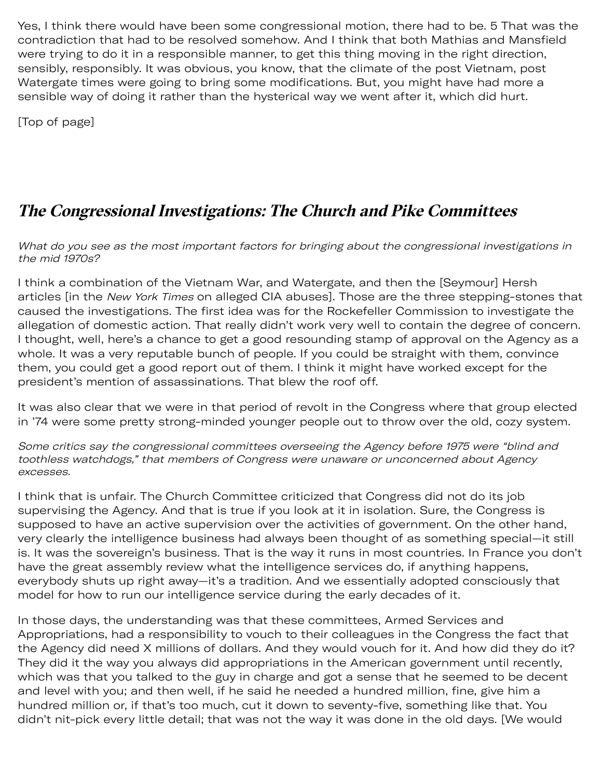Yes, I think there would have been some congressional motion, there had to be. [5 T](#page-22-2)hat was the contradiction that had to be resolved somehow. And I think that both Mathias and Mansfield were trying to do it in a responsible manner, to get this thing moving in the right direction, sensibly, responsibly. It was obvious, you know, that the climate of the post Vietnam, post Watergate times were going to bring some modifications. But, you might have had more a sensible way of doing it rather than the hysterical way we went after it, which did hurt.

[\[Top of page](#page-0-0)]

### **The Congressional Investigations: The Church and Pike Committees**

What do you see as the most important factors for bringing about the congressional investigations in the mid 1970s?

I think a combination of the Vietnam War, and Watergate, and then the [Seymour] Hersh articles [in the New York Times on alleged CIA abuses]. Those are the three stepping-stones that caused the investigations. The first idea was for the Rockefeller Commission to investigate the allegation of domestic action. That really didn't work very well to contain the degree of concern. I thought, well, here's a chance to get a good resounding stamp of approval on the Agency as a whole. It was a very reputable bunch of people. If you could be straight with them, convince them, you could get a good report out of them. I think it might have worked except for the president's mention of assassinations. That blew the roof off.

It was also clear that we were in that period of revolt in the Congress where that group elected in '74 were some pretty strong-minded younger people out to throw over the old, cozy system.

Some critics say the congressional committees overseeing the Agency before 1975 were "blind and toothless watchdogs," that members of Congress were unaware or unconcerned about Agency excesses.

I think that is unfair. The Church Committee criticized that Congress did not do its job supervising the Agency. And that is true if you look at it in isolation. Sure, the Congress is supposed to have an active supervision over the activities of government. On the other hand, very clearly the intelligence business had always been thought of as something special—it still is. It was the sovereign's business. That is the way it runs in most countries. In France you don't have the great assembly review what the intelligence services do, if anything happens, everybody shuts up right away—it's a tradition. And we essentially adopted consciously that model for how to run our intelligence service during the early decades of it.

In those days, the understanding was that these committees, Armed Services and Appropriations, had a responsibility to vouch to their colleagues in the Congress the fact that the Agency did need X millions of dollars. And they would vouch for it. And how did they do it? They did it the way you always did appropriations in the American government until recently, which was that you talked to the guy in charge and got a sense that he seemed to be decent and level with you; and then well, if he said he needed a hundred million, fine, give him a hundred million or, if that's too much, cut it down to seventy-five, something like that. You didn't nit-pick every little detail; that was not the way it was done in the old days. [We would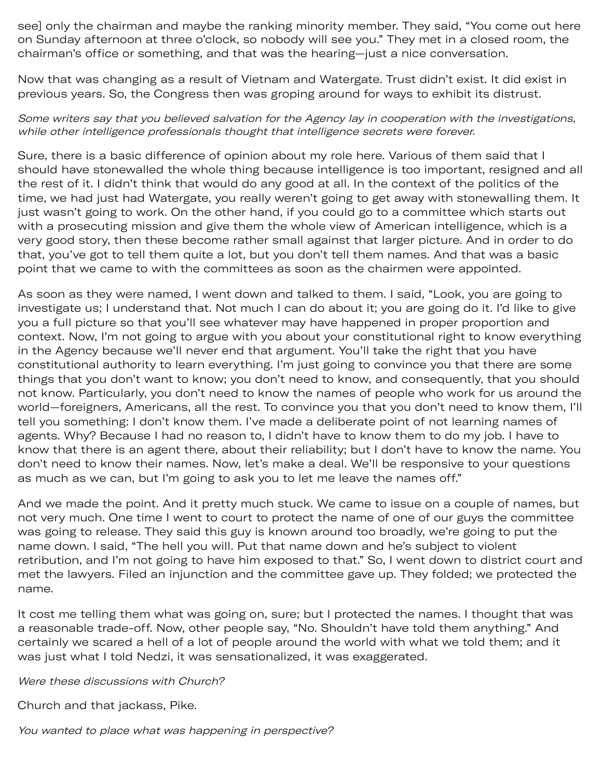see] only the chairman and maybe the ranking minority member. They said, "You come out here on Sunday afternoon at three o'clock, so nobody will see you." They met in a closed room, the chairman's office or something, and that was the hearing—just a nice conversation.

Now that was changing as a result of Vietnam and Watergate. Trust didn't exist. It did exist in previous years. So, the Congress then was groping around for ways to exhibit its distrust.

#### Some writers say that you believed salvation for the Agency lay in cooperation with the investigations, while other intelligence professionals thought that intelligence secrets were forever.

Sure, there is a basic difference of opinion about my role here. Various of them said that I should have stonewalled the whole thing because intelligence is too important, resigned and all the rest of it. I didn't think that would do any good at all. In the context of the politics of the time, we had just had Watergate, you really weren't going to get away with stonewalling them. It just wasn't going to work. On the other hand, if you could go to a committee which starts out with a prosecuting mission and give them the whole view of American intelligence, which is a very good story, then these become rather small against that larger picture. And in order to do that, you've got to tell them quite a lot, but you don't tell them names. And that was a basic point that we came to with the committees as soon as the chairmen were appointed.

As soon as they were named, I went down and talked to them. I said, "Look, you are going to investigate us; I understand that. Not much I can do about it; you are going do it. I'd like to give you a full picture so that you'll see whatever may have happened in proper proportion and context. Now, I'm not going to argue with you about your constitutional right to know everything in the Agency because we'll never end that argument. You'll take the right that you have constitutional authority to learn everything. I'm just going to convince you that there are some things that you don't want to know; you don't need to know, and consequently, that you should not know. Particularly, you don't need to know the names of people who work for us around the world—foreigners, Americans, all the rest. To convince you that you don't need to know them, I'll tell you something: I don't know them. I've made a deliberate point of not learning names of agents. Why? Because I had no reason to, I didn't have to know them to do my job. I have to know that there is an agent there, about their reliability; but I don't have to know the name. You don't need to know their names. Now, let's make a deal. We'll be responsive to your questions as much as we can, but I'm going to ask you to let me leave the names off."

And we made the point. And it pretty much stuck. We came to issue on a couple of names, but not very much. One time I went to court to protect the name of one of our guys the committee was going to release. They said this guy is known around too broadly, we're going to put the name down. I said, "The hell you will. Put that name down and he's subject to violent retribution, and I'm not going to have him exposed to that." So, I went down to district court and met the lawyers. Filed an injunction and the committee gave up. They folded; we protected the name.

It cost me telling them what was going on, sure; but I protected the names. I thought that was a reasonable trade-off. Now, other people say, "No. Shouldn't have told them anything." And certainly we scared a hell of a lot of people around the world with what we told them; and it was just what I told Nedzi, it was sensationalized, it was exaggerated.

#### Were these discussions with Church?

Church and that jackass, Pike.

You wanted to place what was happening in perspective?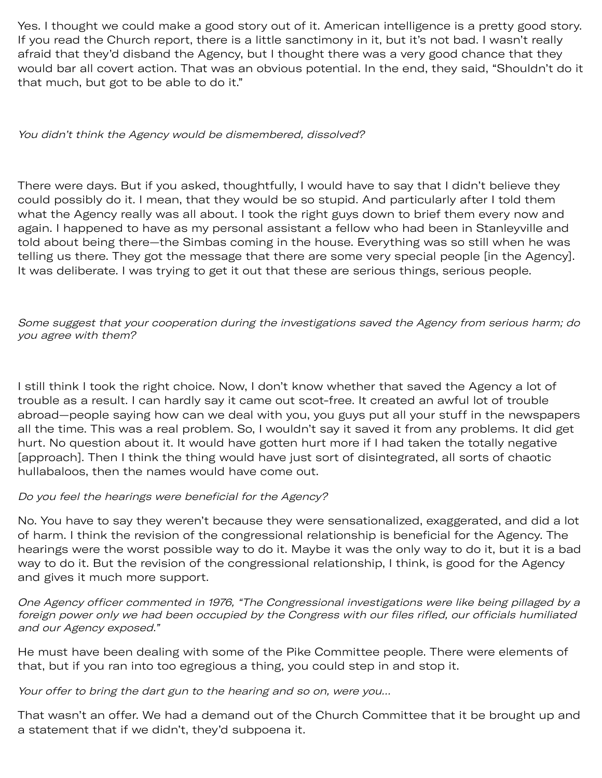Yes. I thought we could make a good story out of it. American intelligence is a pretty good story. If you read the Church report, there is a little sanctimony in it, but it's not bad. I wasn't really afraid that they'd disband the Agency, but I thought there was a very good chance that they would bar all covert action. That was an obvious potential. In the end, they said, "Shouldn't do it that much, but got to be able to do it."

You didn't think the Agency would be dismembered, dissolved?

There were days. But if you asked, thoughtfully, I would have to say that I didn't believe they could possibly do it. I mean, that they would be so stupid. And particularly after I told them what the Agency really was all about. I took the right guys down to brief them every now and again. I happened to have as my personal assistant a fellow who had been in Stanleyville and told about being there—the Simbas coming in the house. Everything was so still when he was telling us there. They got the message that there are some very special people [in the Agency]. It was deliberate. I was trying to get it out that these are serious things, serious people.

Some suggest that your cooperation during the investigations saved the Agency from serious harm; do you agree with them?

I still think I took the right choice. Now, I don't know whether that saved the Agency a lot of trouble as a result. I can hardly say it came out scot-free. It created an awful lot of trouble abroad—people saying how can we deal with you, you guys put all your stuff in the newspapers all the time. This was a real problem. So, I wouldn't say it saved it from any problems. It did get hurt. No question about it. It would have gotten hurt more if I had taken the totally negative [approach]. Then I think the thing would have just sort of disintegrated, all sorts of chaotic hullabaloos, then the names would have come out.

#### Do you feel the hearings were beneficial for the Agency?

No. You have to say they weren't because they were sensationalized, exaggerated, and did a lot of harm. I think the revision of the congressional relationship is beneficial for the Agency. The hearings were the worst possible way to do it. Maybe it was the only way to do it, but it is a bad way to do it. But the revision of the congressional relationship, I think, is good for the Agency and gives it much more support.

One Agency officer commented in 1976, "The Congressional investigations were like being pillaged by a foreign power only we had been occupied by the Congress with our files rifled, our officials humiliated and our Agency exposed."

He must have been dealing with some of the Pike Committee people. There were elements of that, but if you ran into too egregious a thing, you could step in and stop it.

Your offer to bring the dart gun to the hearing and so on, were you...

That wasn't an offer. We had a demand out of the Church Committee that it be brought up and a statement that if we didn't, they'd subpoena it.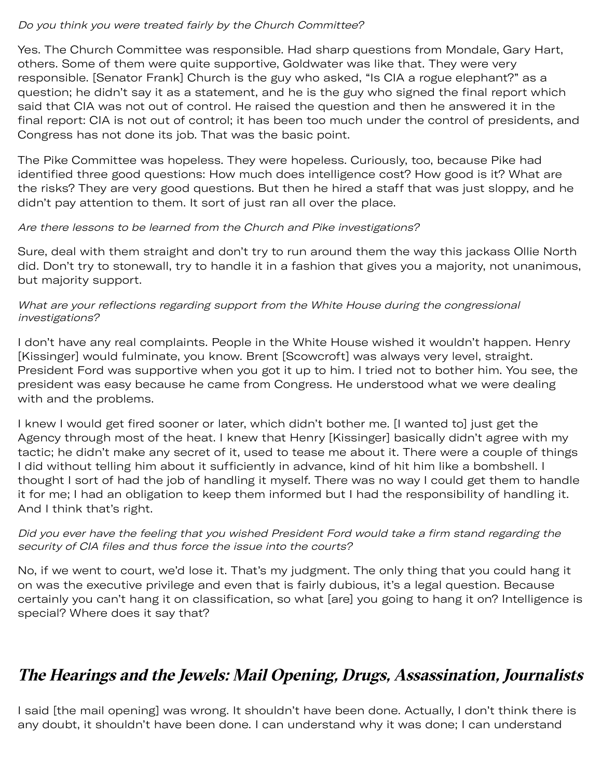#### Do you think you were treated fairly by the Church Committee?

Yes. The Church Committee was responsible. Had sharp questions from Mondale, Gary Hart, others. Some of them were quite supportive, Goldwater was like that. They were very responsible. [Senator Frank] Church is the guy who asked, "Is CIA a rogue elephant?" as a question; he didn't say it as a statement, and he is the guy who signed the final report which said that CIA was not out of control. He raised the question and then he answered it in the final report: CIA is not out of control; it has been too much under the control of presidents, and Congress has not done its job. That was the basic point.

The Pike Committee was hopeless. They were hopeless. Curiously, too, because Pike had identified three good questions: How much does intelligence cost? How good is it? What are the risks? They are very good questions. But then he hired a staff that was just sloppy, and he didn't pay attention to them. It sort of just ran all over the place.

#### Are there lessons to be learned from the Church and Pike investigations?

Sure, deal with them straight and don't try to run around them the way this jackass Ollie North did. Don't try to stonewall, try to handle it in a fashion that gives you a majority, not unanimous, but majority support.

#### What are your reflections regarding support from the White House during the congressional investigations?

I don't have any real complaints. People in the White House wished it wouldn't happen. Henry [Kissinger] would fulminate, you know. Brent [Scowcroft] was always very level, straight. President Ford was supportive when you got it up to him. I tried not to bother him. You see, the president was easy because he came from Congress. He understood what we were dealing with and the problems.

I knew I would get fired sooner or later, which didn't bother me. [I wanted to] just get the Agency through most of the heat. I knew that Henry [Kissinger] basically didn't agree with my tactic; he didn't make any secret of it, used to tease me about it. There were a couple of things I did without telling him about it sufficiently in advance, kind of hit him like a bombshell. I thought I sort of had the job of handling it myself. There was no way I could get them to handle it for me; I had an obligation to keep them informed but I had the responsibility of handling it. And I think that's right.

#### Did you ever have the feeling that you wished President Ford would take a firm stand regarding the security of CIA files and thus force the issue into the courts?

No, if we went to court, we'd lose it. That's my judgment. The only thing that you could hang it on was the executive privilege and even that is fairly dubious, it's a legal question. Because certainly you can't hang it on classification, so what [are] you going to hang it on? Intelligence is special? Where does it say that?

### **The Hearings and the Jewels: Mail Opening, Drugs, Assassination, Journalists**

I said [the mail opening] was wrong. It shouldn't have been done. Actually, I don't think there is any doubt, it shouldn't have been done. I can understand why it was done; I can understand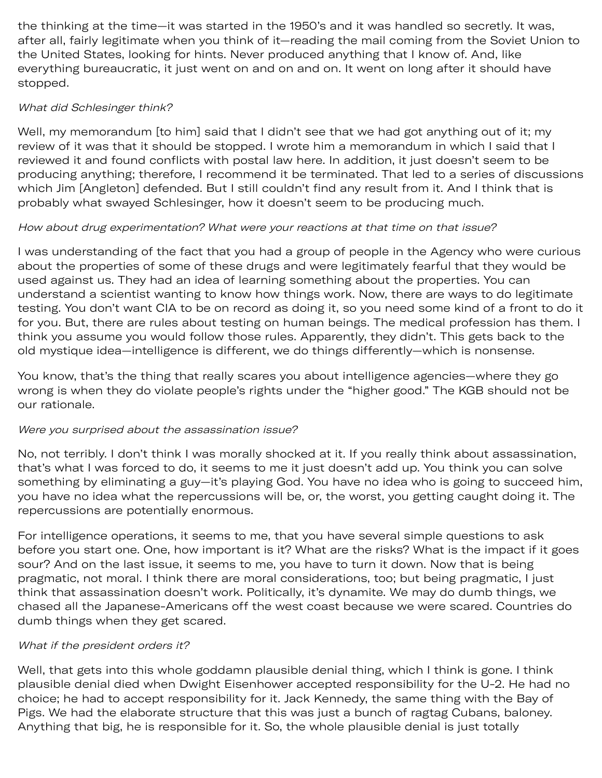the thinking at the time—it was started in the 1950's and it was handled so secretly. It was, after all, fairly legitimate when you think of it—reading the mail coming from the Soviet Union to the United States, looking for hints. Never produced anything that I know of. And, like everything bureaucratic, it just went on and on and on. It went on long after it should have stopped.

#### What did Schlesinger think?

Well, my memorandum [to him] said that I didn't see that we had got anything out of it; my review of it was that it should be stopped. I wrote him a memorandum in which I said that I reviewed it and found conflicts with postal law here. In addition, it just doesn't seem to be producing anything; therefore, I recommend it be terminated. That led to a series of discussions which Jim [Angleton] defended. But I still couldn't find any result from it. And I think that is probably what swayed Schlesinger, how it doesn't seem to be producing much.

#### How about drug experimentation? What were your reactions at that time on that issue?

I was understanding of the fact that you had a group of people in the Agency who were curious about the properties of some of these drugs and were legitimately fearful that they would be used against us. They had an idea of learning something about the properties. You can understand a scientist wanting to know how things work. Now, there are ways to do legitimate testing. You don't want CIA to be on record as doing it, so you need some kind of a front to do it for you. But, there are rules about testing on human beings. The medical profession has them. I think you assume you would follow those rules. Apparently, they didn't. This gets back to the old mystique idea—intelligence is different, we do things differently—which is nonsense.

You know, that's the thing that really scares you about intelligence agencies—where they go wrong is when they do violate people's rights under the "higher good." The KGB should not be our rationale.

#### Were you surprised about the assassination issue?

No, not terribly. I don't think I was morally shocked at it. If you really think about assassination, that's what I was forced to do, it seems to me it just doesn't add up. You think you can solve something by eliminating a guy—it's playing God. You have no idea who is going to succeed him, you have no idea what the repercussions will be, or, the worst, you getting caught doing it. The repercussions are potentially enormous.

For intelligence operations, it seems to me, that you have several simple questions to ask before you start one. One, how important is it? What are the risks? What is the impact if it goes sour? And on the last issue, it seems to me, you have to turn it down. Now that is being pragmatic, not moral. I think there are moral considerations, too; but being pragmatic, I just think that assassination doesn't work. Politically, it's dynamite. We may do dumb things, we chased all the Japanese-Americans off the west coast because we were scared. Countries do dumb things when they get scared.

### What if the president orders it?

Well, that gets into this whole goddamn plausible denial thing, which I think is gone. I think plausible denial died when Dwight Eisenhower accepted responsibility for the U-2. He had no choice; he had to accept responsibility for it. Jack Kennedy, the same thing with the Bay of Pigs. We had the elaborate structure that this was just a bunch of ragtag Cubans, baloney. Anything that big, he is responsible for it. So, the whole plausible denial is just totally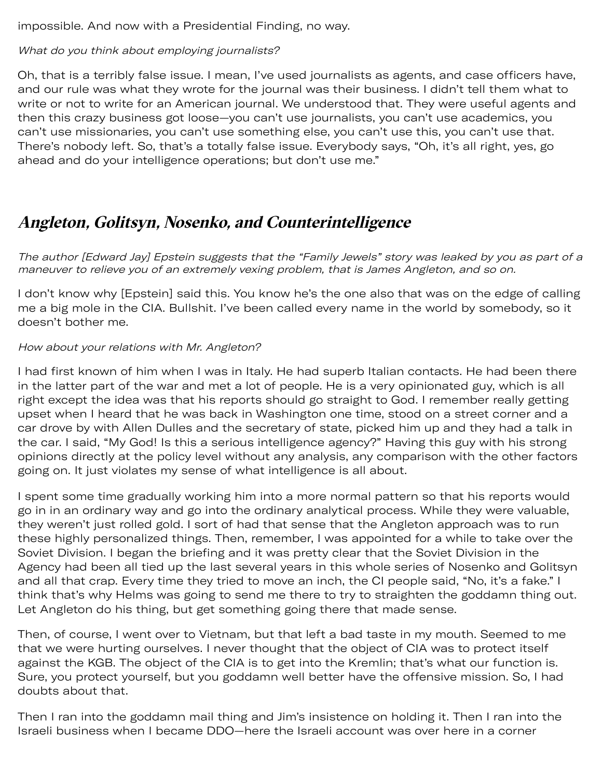impossible. And now with a Presidential Finding, no way.

#### What do you think about employing journalists?

Oh, that is a terribly false issue. I mean, I've used journalists as agents, and case officers have, and our rule was what they wrote for the journal was their business. I didn't tell them what to write or not to write for an American journal. We understood that. They were useful agents and then this crazy business got loose—you can't use journalists, you can't use academics, you can't use missionaries, you can't use something else, you can't use this, you can't use that. There's nobody left. So, that's a totally false issue. Everybody says, "Oh, it's all right, yes, go ahead and do your intelligence operations; but don't use me."

### **Angleton, Golitsyn, Nosenko, and Counterintelligence**

The author [Edward Jay] Epstein suggests that the "Family Jewels" story was leaked by you as part of a maneuver to relieve you of an extremely vexing problem, that is James Angleton, and so on.

I don't know why [Epstein] said this. You know he's the one also that was on the edge of calling me a big mole in the CIA. Bullshit. I've been called every name in the world by somebody, so it doesn't bother me.

#### How about your relations with Mr. Angleton?

I had first known of him when I was in Italy. He had superb Italian contacts. He had been there in the latter part of the war and met a lot of people. He is a very opinionated guy, which is all right except the idea was that his reports should go straight to God. I remember really getting upset when I heard that he was back in Washington one time, stood on a street corner and a car drove by with Allen Dulles and the secretary of state, picked him up and they had a talk in the car. I said, "My God! Is this a serious intelligence agency?" Having this guy with his strong opinions directly at the policy level without any analysis, any comparison with the other factors going on. It just violates my sense of what intelligence is all about.

I spent some time gradually working him into a more normal pattern so that his reports would go in in an ordinary way and go into the ordinary analytical process. While they were valuable, they weren't just rolled gold. I sort of had that sense that the Angleton approach was to run these highly personalized things. Then, remember, I was appointed for a while to take over the Soviet Division. I began the briefing and it was pretty clear that the Soviet Division in the Agency had been all tied up the last several years in this whole series of Nosenko and Golitsyn and all that crap. Every time they tried to move an inch, the CI people said, "No, it's a fake." I think that's why Helms was going to send me there to try to straighten the goddamn thing out. Let Angleton do his thing, but get something going there that made sense.

Then, of course, I went over to Vietnam, but that left a bad taste in my mouth. Seemed to me that we were hurting ourselves. I never thought that the object of CIA was to protect itself against the KGB. The object of the CIA is to get into the Kremlin; that's what our function is. Sure, you protect yourself, but you goddamn well better have the offensive mission. So, I had doubts about that.

Then I ran into the goddamn mail thing and Jim's insistence on holding it. Then I ran into the Israeli business when I became DDO—here the Israeli account was over here in a corner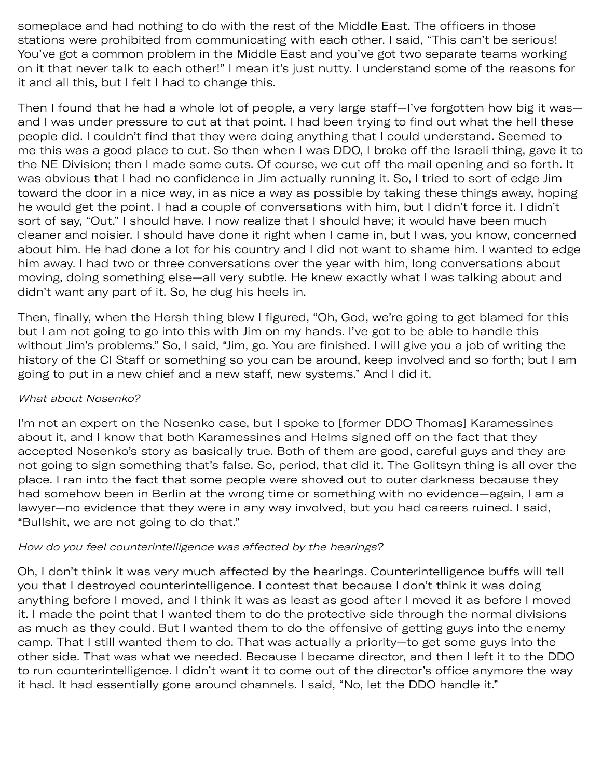someplace and had nothing to do with the rest of the Middle East. The officers in those stations were prohibited from communicating with each other. I said, "This can't be serious! You've got a common problem in the Middle East and you've got two separate teams working on it that never talk to each other!" I mean it's just nutty. I understand some of the reasons for it and all this, but I felt I had to change this.

Then I found that he had a whole lot of people, a very large staff—I've forgotten how big it was and I was under pressure to cut at that point. I had been trying to find out what the hell these people did. I couldn't find that they were doing anything that I could understand. Seemed to me this was a good place to cut. So then when I was DDO, I broke off the Israeli thing, gave it to the NE Division; then I made some cuts. Of course, we cut off the mail opening and so forth. It was obvious that I had no confidence in Jim actually running it. So, I tried to sort of edge Jim toward the door in a nice way, in as nice a way as possible by taking these things away, hoping he would get the point. I had a couple of conversations with him, but I didn't force it. I didn't sort of say, "Out." I should have. I now realize that I should have; it would have been much cleaner and noisier. I should have done it right when I came in, but I was, you know, concerned about him. He had done a lot for his country and I did not want to shame him. I wanted to edge him away. I had two or three conversations over the year with him, long conversations about moving, doing something else—all very subtle. He knew exactly what I was talking about and didn't want any part of it. So, he dug his heels in.

Then, finally, when the Hersh thing blew I figured, "Oh, God, we're going to get blamed for this but I am not going to go into this with Jim on my hands. I've got to be able to handle this without Jim's problems." So, I said, "Jim, go. You are finished. I will give you a job of writing the history of the CI Staff or something so you can be around, keep involved and so forth; but I am going to put in a new chief and a new staff, new systems." And I did it.

#### What about Nosenko?

I'm not an expert on the Nosenko case, but I spoke to [former DDO Thomas] Karamessines about it, and I know that both Karamessines and Helms signed off on the fact that they accepted Nosenko's story as basically true. Both of them are good, careful guys and they are not going to sign something that's false. So, period, that did it. The Golitsyn thing is all over the place. I ran into the fact that some people were shoved out to outer darkness because they had somehow been in Berlin at the wrong time or something with no evidence—again, I am a lawyer—no evidence that they were in any way involved, but you had careers ruined. I said, "Bullshit, we are not going to do that."

#### How do you feel counterintelligence was affected by the hearings?

Oh, I don't think it was very much affected by the hearings. Counterintelligence buffs will tell you that I destroyed counterintelligence. I contest that because I don't think it was doing anything before I moved, and I think it was as least as good after I moved it as before I moved it. I made the point that I wanted them to do the protective side through the normal divisions as much as they could. But I wanted them to do the offensive of getting guys into the enemy camp. That I still wanted them to do. That was actually a priority—to get some guys into the other side. That was what we needed. Because I became director, and then I left it to the DDO to run counterintelligence. I didn't want it to come out of the director's office anymore the way it had. It had essentially gone around channels. I said, "No, let the DDO handle it."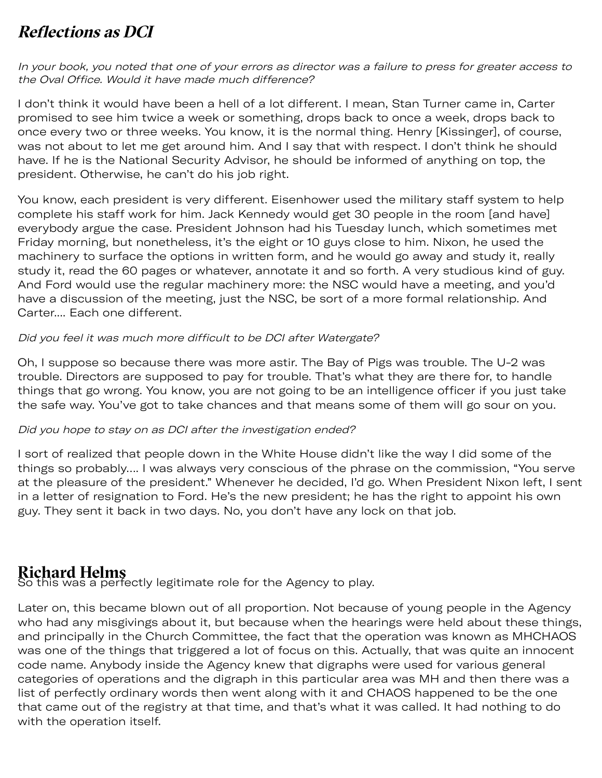### **Reflections as DCI**

In your book, you noted that one of your errors as director was a failure to press for greater access to the Oval Office. Would it have made much difference?

I don't think it would have been a hell of a lot different. I mean, Stan Turner came in, Carter promised to see him twice a week or something, drops back to once a week, drops back to once every two or three weeks. You know, it is the normal thing. Henry [Kissinger], of course, was not about to let me get around him. And I say that with respect. I don't think he should have. If he is the National Security Advisor, he should be informed of anything on top, the president. Otherwise, he can't do his job right.

You know, each president is very different. Eisenhower used the military staff system to help complete his staff work for him. Jack Kennedy would get 30 people in the room [and have] everybody argue the case. President Johnson had his Tuesday lunch, which sometimes met Friday morning, but nonetheless, it's the eight or 10 guys close to him. Nixon, he used the machinery to surface the options in written form, and he would go away and study it, really study it, read the 60 pages or whatever, annotate it and so forth. A very studious kind of guy. And Ford would use the regular machinery more: the NSC would have a meeting, and you'd have a discussion of the meeting, just the NSC, be sort of a more formal relationship. And Carter.... Each one different.

#### Did you feel it was much more difficult to be DCI after Watergate?

Oh, I suppose so because there was more astir. The Bay of Pigs was trouble. The U-2 was trouble. Directors are supposed to pay for trouble. That's what they are there for, to handle things that go wrong. You know, you are not going to be an intelligence officer if you just take the safe way. You've got to take chances and that means some of them will go sour on you.

#### Did you hope to stay on as DCI after the investigation ended?

I sort of realized that people down in the White House didn't like the way I did some of the things so probably…. I was always very conscious of the phrase on the commission, "You serve at the pleasure of the president." Whenever he decided, I'd go. When President Nixon left, I sent in a letter of resignation to Ford. He's the new president; he has the right to appoint his own guy. They sent it back in two days. No, you don't have any lock on that job.

**Richard Helms** So this was a perfectly legitimate role for the Agency to play.

Later on, this became blown out of all proportion. Not because of young people in the Agency who had any misgivings about it, but because when the hearings were held about these things, and principally in the Church Committee, the fact that the operation was known as MHCHAOS was one of the things that triggered a lot of focus on this. Actually, that was quite an innocent code name. Anybody inside the Agency knew that digraphs were used for various general categories of operations and the digraph in this particular area was MH and then there was a list of perfectly ordinary words then went along with it and CHAOS happened to be the one that came out of the registry at that time, and that's what it was called. It had nothing to do with the operation itself.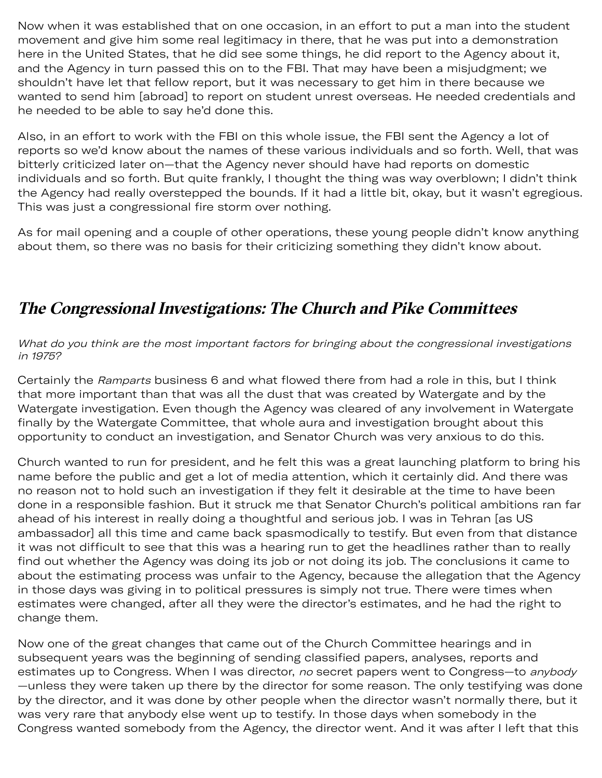Now when it was established that on one occasion, in an effort to put a man into the student movement and give him some real legitimacy in there, that he was put into a demonstration here in the United States, that he did see some things, he did report to the Agency about it, and the Agency in turn passed this on to the FBI. That may have been a misjudgment; we shouldn't have let that fellow report, but it was necessary to get him in there because we wanted to send him [abroad] to report on student unrest overseas. He needed credentials and he needed to be able to say he'd done this.

Also, in an effort to work with the FBI on this whole issue, the FBI sent the Agency a lot of reports so we'd know about the names of these various individuals and so forth. Well, that was bitterly criticized later on—that the Agency never should have had reports on domestic individuals and so forth. But quite frankly, I thought the thing was way overblown; I didn't think the Agency had really overstepped the bounds. If it had a little bit, okay, but it wasn't egregious. This was just a congressional fire storm over nothing.

As for mail opening and a couple of other operations, these young people didn't know anything about them, so there was no basis for their criticizing something they didn't know about.

### **The Congressional Investigations: The Church and Pike Committees**

#### What do you think are the most important factors for bringing about the congressional investigations in 1975?

Certainly the Ramparts business [6 a](#page-22-3)nd what flowed there from had a role in this, but I think that more important than that was all the dust that was created by Watergate and by the Watergate investigation. Even though the Agency was cleared of any involvement in Watergate finally by the Watergate Committee, that whole aura and investigation brought about this opportunity to conduct an investigation, and Senator Church was very anxious to do this.

Church wanted to run for president, and he felt this was a great launching platform to bring his name before the public and get a lot of media attention, which it certainly did. And there was no reason not to hold such an investigation if they felt it desirable at the time to have been done in a responsible fashion. But it struck me that Senator Church's political ambitions ran far ahead of his interest in really doing a thoughtful and serious job. I was in Tehran [as US ambassador] all this time and came back spasmodically to testify. But even from that distance it was not difficult to see that this was a hearing run to get the headlines rather than to really find out whether the Agency was doing its job or not doing its job. The conclusions it came to about the estimating process was unfair to the Agency, because the allegation that the Agency in those days was giving in to political pressures is simply not true. There were times when estimates were changed, after all they were the director's estimates, and he had the right to change them.

Now one of the great changes that came out of the Church Committee hearings and in subsequent years was the beginning of sending classified papers, analyses, reports and estimates up to Congress. When I was director, no secret papers went to Congress-to anybody —unless they were taken up there by the director for some reason. The only testifying was done by the director, and it was done by other people when the director wasn't normally there, but it was very rare that anybody else went up to testify. In those days when somebody in the Congress wanted somebody from the Agency, the director went. And it was after I left that this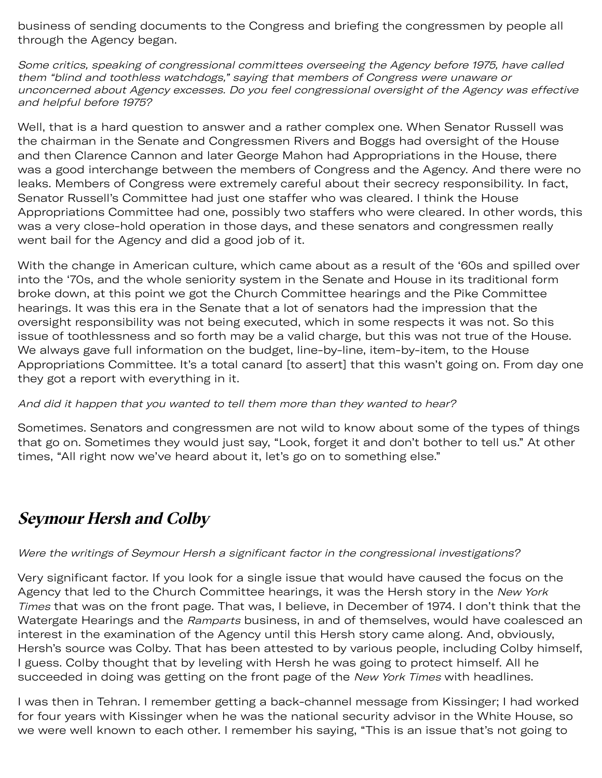business of sending documents to the Congress and briefing the congressmen by people all through the Agency began.

Some critics, speaking of congressional committees overseeing the Agency before 1975, have called them "blind and toothless watchdogs," saying that members of Congress were unaware or unconcerned about Agency excesses. Do you feel congressional oversight of the Agency was effective and helpful before 1975?

Well, that is a hard question to answer and a rather complex one. When Senator Russell was the chairman in the Senate and Congressmen Rivers and Boggs had oversight of the House and then Clarence Cannon and later George Mahon had Appropriations in the House, there was a good interchange between the members of Congress and the Agency. And there were no leaks. Members of Congress were extremely careful about their secrecy responsibility. In fact, Senator Russell's Committee had just one staffer who was cleared. I think the House Appropriations Committee had one, possibly two staffers who were cleared. In other words, this was a very close-hold operation in those days, and these senators and congressmen really went bail for the Agency and did a good job of it.

With the change in American culture, which came about as a result of the '60s and spilled over into the '70s, and the whole seniority system in the Senate and House in its traditional form broke down, at this point we got the Church Committee hearings and the Pike Committee hearings. It was this era in the Senate that a lot of senators had the impression that the oversight responsibility was not being executed, which in some respects it was not. So this issue of toothlessness and so forth may be a valid charge, but this was not true of the House. We always gave full information on the budget, line-by-line, item-by-item, to the House Appropriations Committee. It's a total canard [to assert] that this wasn't going on. From day one they got a report with everything in it.

#### And did it happen that you wanted to tell them more than they wanted to hear?

Sometimes. Senators and congressmen are not wild to know about some of the types of things that go on. Sometimes they would just say, "Look, forget it and don't bother to tell us." At other times, "All right now we've heard about it, let's go on to something else."

## **Seymour Hersh and Colby**

### Were the writings of Seymour Hersh a significant factor in the congressional investigations?

Very significant factor. If you look for a single issue that would have caused the focus on the Agency that led to the Church Committee hearings, it was the Hersh story in the New York Times that was on the front page. That was, I believe, in December of 1974. I don't think that the Watergate Hearings and the Ramparts business, in and of themselves, would have coalesced an interest in the examination of the Agency until this Hersh story came along. And, obviously, Hersh's source was Colby. That has been attested to by various people, including Colby himself, I guess. Colby thought that by leveling with Hersh he was going to protect himself. All he succeeded in doing was getting on the front page of the New York Times with headlines.

I was then in Tehran. I remember getting a back-channel message from Kissinger; I had worked for four years with Kissinger when he was the national security advisor in the White House, so we were well known to each other. I remember his saying, "This is an issue that's not going to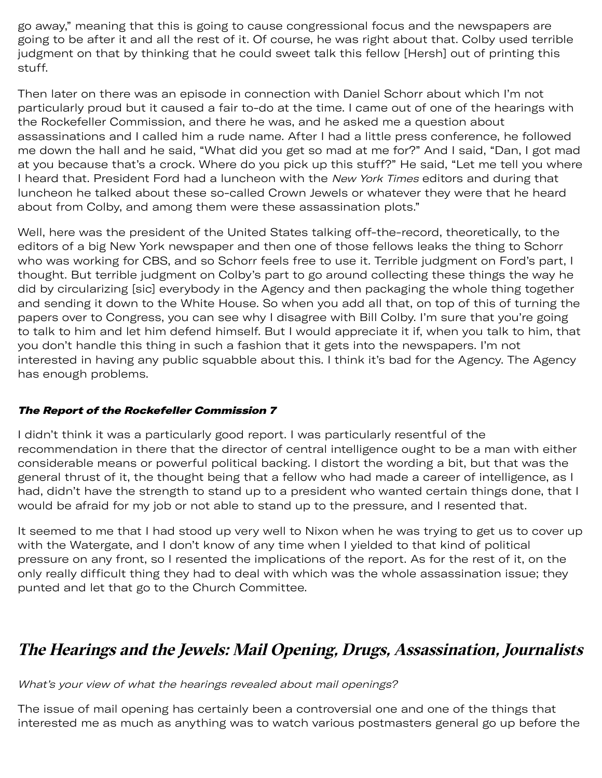go away," meaning that this is going to cause congressional focus and the newspapers are going to be after it and all the rest of it. Of course, he was right about that. Colby used terrible judgment on that by thinking that he could sweet talk this fellow [Hersh] out of printing this stuff.

Then later on there was an episode in connection with Daniel Schorr about which I'm not particularly proud but it caused a fair to-do at the time. I came out of one of the hearings with the Rockefeller Commission, and there he was, and he asked me a question about assassinations and I called him a rude name. After I had a little press conference, he followed me down the hall and he said, "What did you get so mad at me for?" And I said, "Dan, I got mad at you because that's a crock. Where do you pick up this stuff?" He said, "Let me tell you where I heard that. President Ford had a luncheon with the New York Times editors and during that luncheon he talked about these so-called Crown Jewels or whatever they were that he heard about from Colby, and among them were these assassination plots."

Well, here was the president of the United States talking off-the-record, theoretically, to the editors of a big New York newspaper and then one of those fellows leaks the thing to Schorr who was working for CBS, and so Schorr feels free to use it. Terrible judgment on Ford's part, I thought. But terrible judgment on Colby's part to go around collecting these things the way he did by circularizing [sic] everybody in the Agency and then packaging the whole thing together and sending it down to the White House. So when you add all that, on top of this of turning the papers over to Congress, you can see why I disagree with Bill Colby. I'm sure that you're going to talk to him and let him defend himself. But I would appreciate it if, when you talk to him, that you don't handle this thing in such a fashion that it gets into the newspapers. I'm not interested in having any public squabble about this. I think it's bad for the Agency. The Agency has enough problems.

### The Report of the Rockefeller Commission [7](#page-22-4)

I didn't think it was a particularly good report. I was particularly resentful of the recommendation in there that the director of central intelligence ought to be a man with either considerable means or powerful political backing. I distort the wording a bit, but that was the general thrust of it, the thought being that a fellow who had made a career of intelligence, as I had, didn't have the strength to stand up to a president who wanted certain things done, that I would be afraid for my job or not able to stand up to the pressure, and I resented that.

It seemed to me that I had stood up very well to Nixon when he was trying to get us to cover up with the Watergate, and I don't know of any time when I yielded to that kind of political pressure on any front, so I resented the implications of the report. As for the rest of it, on the only really difficult thing they had to deal with which was the whole assassination issue; they punted and let that go to the Church Committee.

### **The Hearings and the Jewels: Mail Opening, Drugs, Assassination, Journalists**

#### What's your view of what the hearings revealed about mail openings?

The issue of mail opening has certainly been a controversial one and one of the things that interested me as much as anything was to watch various postmasters general go up before the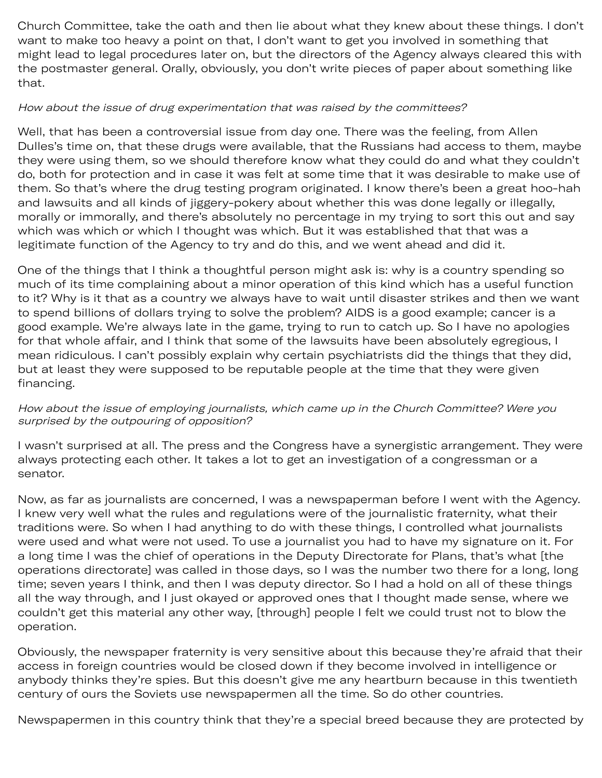Church Committee, take the oath and then lie about what they knew about these things. I don't want to make too heavy a point on that, I don't want to get you involved in something that might lead to legal procedures later on, but the directors of the Agency always cleared this with the postmaster general. Orally, obviously, you don't write pieces of paper about something like that.

#### How about the issue of drug experimentation that was raised by the committees?

Well, that has been a controversial issue from day one. There was the feeling, from Allen Dulles's time on, that these drugs were available, that the Russians had access to them, maybe they were using them, so we should therefore know what they could do and what they couldn't do, both for protection and in case it was felt at some time that it was desirable to make use of them. So that's where the drug testing program originated. I know there's been a great hoo-hah and lawsuits and all kinds of jiggery-pokery about whether this was done legally or illegally, morally or immorally, and there's absolutely no percentage in my trying to sort this out and say which was which or which I thought was which. But it was established that that was a legitimate function of the Agency to try and do this, and we went ahead and did it.

One of the things that I think a thoughtful person might ask is: why is a country spending so much of its time complaining about a minor operation of this kind which has a useful function to it? Why is it that as a country we always have to wait until disaster strikes and then we want to spend billions of dollars trying to solve the problem? AIDS is a good example; cancer is a good example. We're always late in the game, trying to run to catch up. So I have no apologies for that whole affair, and I think that some of the lawsuits have been absolutely egregious, I mean ridiculous. I can't possibly explain why certain psychiatrists did the things that they did, but at least they were supposed to be reputable people at the time that they were given financing.

#### How about the issue of employing journalists, which came up in the Church Committee? Were you surprised by the outpouring of opposition?

I wasn't surprised at all. The press and the Congress have a synergistic arrangement. They were always protecting each other. It takes a lot to get an investigation of a congressman or a senator.

Now, as far as journalists are concerned, I was a newspaperman before I went with the Agency. I knew very well what the rules and regulations were of the journalistic fraternity, what their traditions were. So when I had anything to do with these things, I controlled what journalists were used and what were not used. To use a journalist you had to have my signature on it. For a long time I was the chief of operations in the Deputy Directorate for Plans, that's what [the operations directorate] was called in those days, so I was the number two there for a long, long time; seven years I think, and then I was deputy director. So I had a hold on all of these things all the way through, and I just okayed or approved ones that I thought made sense, where we couldn't get this material any other way, [through] people I felt we could trust not to blow the operation.

Obviously, the newspaper fraternity is very sensitive about this because they're afraid that their access in foreign countries would be closed down if they become involved in intelligence or anybody thinks they're spies. But this doesn't give me any heartburn because in this twentieth century of ours the Soviets use newspapermen all the time. So do other countries.

Newspapermen in this country think that they're a special breed because they are protected by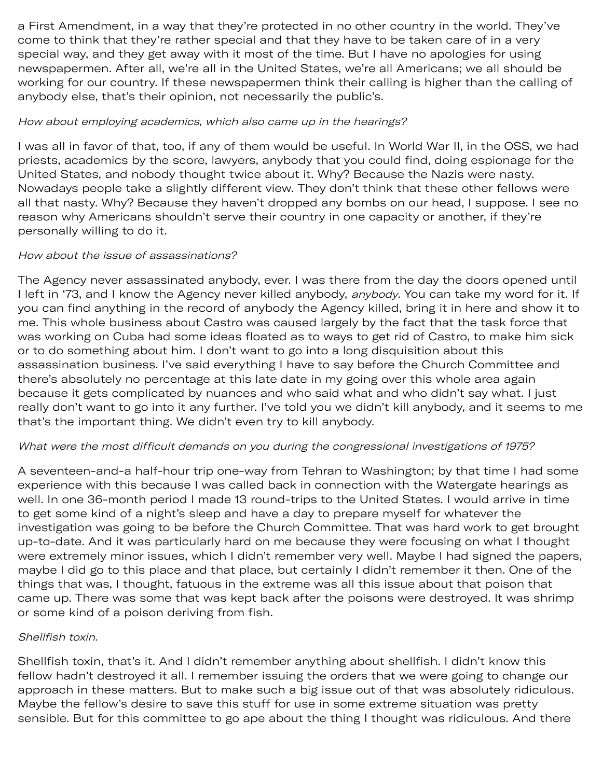a First Amendment, in a way that they're protected in no other country in the world. They've come to think that they're rather special and that they have to be taken care of in a very special way, and they get away with it most of the time. But I have no apologies for using newspapermen. After all, we're all in the United States, we're all Americans; we all should be working for our country. If these newspapermen think their calling is higher than the calling of anybody else, that's their opinion, not necessarily the public's.

#### How about employing academics, which also came up in the hearings?

I was all in favor of that, too, if any of them would be useful. In World War II, in the OSS, we had priests, academics by the score, lawyers, anybody that you could find, doing espionage for the United States, and nobody thought twice about it. Why? Because the Nazis were nasty. Nowadays people take a slightly different view. They don't think that these other fellows were all that nasty. Why? Because they haven't dropped any bombs on our head, I suppose. I see no reason why Americans shouldn't serve their country in one capacity or another, if they're personally willing to do it.

#### How about the issue of assassinations?

The Agency never assassinated anybody, ever. I was there from the day the doors opened until I left in '73, and I know the Agency never killed anybody, *anybody*. You can take my word for it. If you can find anything in the record of anybody the Agency killed, bring it in here and show it to me. This whole business about Castro was caused largely by the fact that the task force that was working on Cuba had some ideas floated as to ways to get rid of Castro, to make him sick or to do something about him. I don't want to go into a long disquisition about this assassination business. I've said everything I have to say before the Church Committee and there's absolutely no percentage at this late date in my going over this whole area again because it gets complicated by nuances and who said what and who didn't say what. I just really don't want to go into it any further. I've told you we didn't kill anybody, and it seems to me that's the important thing. We didn't even try to kill anybody.

#### What were the most difficult demands on you during the congressional investigations of 1975?

A seventeen-and-a half-hour trip one-way from Tehran to Washington; by that time I had some experience with this because I was called back in connection with the Watergate hearings as well. In one 36-month period I made 13 round-trips to the United States. I would arrive in time to get some kind of a night's sleep and have a day to prepare myself for whatever the investigation was going to be before the Church Committee. That was hard work to get brought up-to-date. And it was particularly hard on me because they were focusing on what I thought were extremely minor issues, which I didn't remember very well. Maybe I had signed the papers, maybe I did go to this place and that place, but certainly I didn't remember it then. One of the things that was, I thought, fatuous in the extreme was all this issue about that poison that came up. There was some that was kept back after the poisons were destroyed. It was shrimp or some kind of a poison deriving from fish.

#### Shellfish toxin.

Shellfish toxin, that's it. And I didn't remember anything about shellfish. I didn't know this fellow hadn't destroyed it all. I remember issuing the orders that we were going to change our approach in these matters. But to make such a big issue out of that was absolutely ridiculous. Maybe the fellow's desire to save this stuff for use in some extreme situation was pretty sensible. But for this committee to go ape about the thing I thought was ridiculous. And there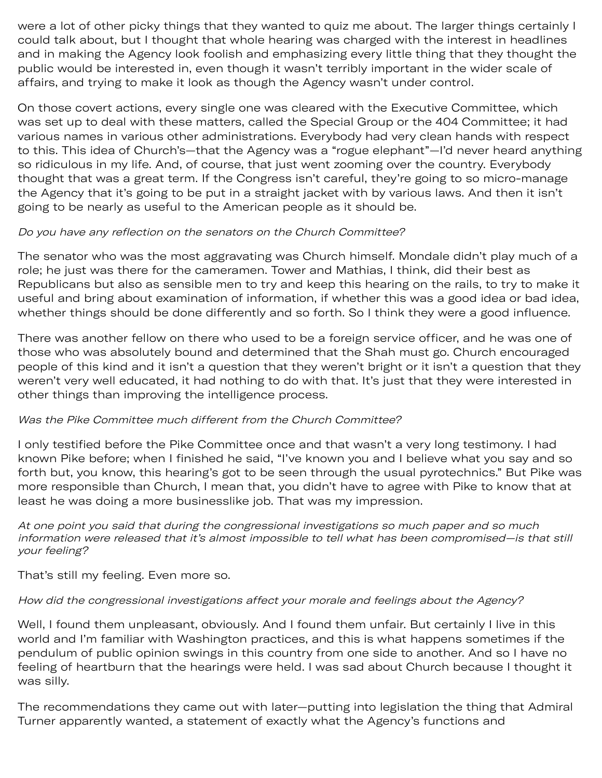were a lot of other picky things that they wanted to quiz me about. The larger things certainly I could talk about, but I thought that whole hearing was charged with the interest in headlines and in making the Agency look foolish and emphasizing every little thing that they thought the public would be interested in, even though it wasn't terribly important in the wider scale of affairs, and trying to make it look as though the Agency wasn't under control.

On those covert actions, every single one was cleared with the Executive Committee, which was set up to deal with these matters, called the Special Group or the 404 Committee; it had various names in various other administrations. Everybody had very clean hands with respect to this. This idea of Church's—that the Agency was a "rogue elephant"—I'd never heard anything so ridiculous in my life. And, of course, that just went zooming over the country. Everybody thought that was a great term. If the Congress isn't careful, they're going to so micro-manage the Agency that it's going to be put in a straight jacket with by various laws. And then it isn't going to be nearly as useful to the American people as it should be.

#### Do you have any reflection on the senators on the Church Committee?

The senator who was the most aggravating was Church himself. Mondale didn't play much of a role; he just was there for the cameramen. Tower and Mathias, I think, did their best as Republicans but also as sensible men to try and keep this hearing on the rails, to try to make it useful and bring about examination of information, if whether this was a good idea or bad idea, whether things should be done differently and so forth. So I think they were a good influence.

There was another fellow on there who used to be a foreign service officer, and he was one of those who was absolutely bound and determined that the Shah must go. Church encouraged people of this kind and it isn't a question that they weren't bright or it isn't a question that they weren't very well educated, it had nothing to do with that. It's just that they were interested in other things than improving the intelligence process.

### Was the Pike Committee much different from the Church Committee?

I only testified before the Pike Committee once and that wasn't a very long testimony. I had known Pike before; when I finished he said, "I've known you and I believe what you say and so forth but, you know, this hearing's got to be seen through the usual pyrotechnics." But Pike was more responsible than Church, I mean that, you didn't have to agree with Pike to know that at least he was doing a more businesslike job. That was my impression.

At one point you said that during the congressional investigations so much paper and so much information were released that it's almost impossible to tell what has been compromised—is that still your feeling?

That's still my feeling. Even more so.

#### How did the congressional investigations affect your morale and feelings about the Agency?

Well, I found them unpleasant, obviously. And I found them unfair. But certainly I live in this world and I'm familiar with Washington practices, and this is what happens sometimes if the pendulum of public opinion swings in this country from one side to another. And so I have no feeling of heartburn that the hearings were held. I was sad about Church because I thought it was silly.

The recommendations they came out with later—putting into legislation the thing that Admiral Turner apparently wanted, a statement of exactly what the Agency's functions and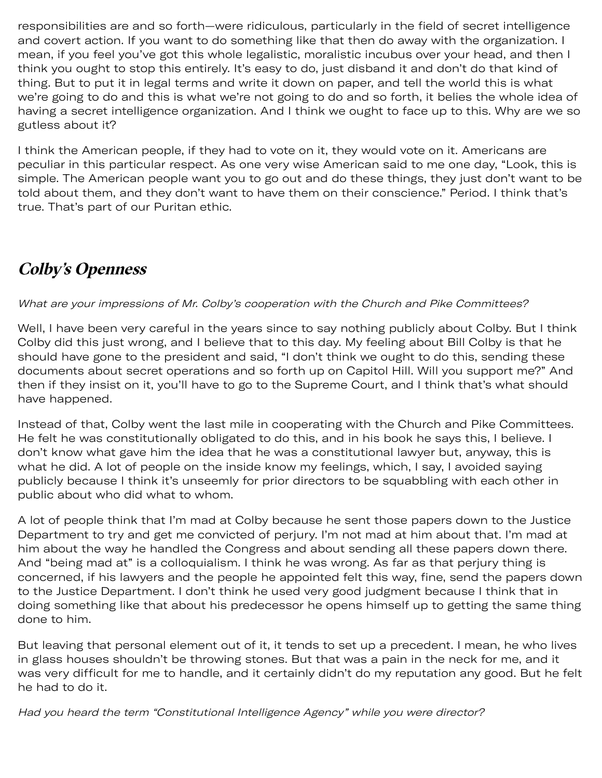responsibilities are and so forth—were ridiculous, particularly in the field of secret intelligence and covert action. If you want to do something like that then do away with the organization. I mean, if you feel you've got this whole legalistic, moralistic incubus over your head, and then I think you ought to stop this entirely. It's easy to do, just disband it and don't do that kind of thing. But to put it in legal terms and write it down on paper, and tell the world this is what we're going to do and this is what we're not going to do and so forth, it belies the whole idea of having a secret intelligence organization. And I think we ought to face up to this. Why are we so gutless about it?

I think the American people, if they had to vote on it, they would vote on it. Americans are peculiar in this particular respect. As one very wise American said to me one day, "Look, this is simple. The American people want you to go out and do these things, they just don't want to be told about them, and they don't want to have them on their conscience." Period. I think that's true. That's part of our Puritan ethic.

## **Colby's Openness**

### What are your impressions of Mr. Colby's cooperation with the Church and Pike Committees?

Well, I have been very careful in the years since to say nothing publicly about Colby. But I think Colby did this just wrong, and I believe that to this day. My feeling about Bill Colby is that he should have gone to the president and said, "I don't think we ought to do this, sending these documents about secret operations and so forth up on Capitol Hill. Will you support me?" And then if they insist on it, you'll have to go to the Supreme Court, and I think that's what should have happened.

Instead of that, Colby went the last mile in cooperating with the Church and Pike Committees. He felt he was constitutionally obligated to do this, and in his book he says this, I believe. I don't know what gave him the idea that he was a constitutional lawyer but, anyway, this is what he did. A lot of people on the inside know my feelings, which, I say, I avoided saying publicly because I think it's unseemly for prior directors to be squabbling with each other in public about who did what to whom.

A lot of people think that I'm mad at Colby because he sent those papers down to the Justice Department to try and get me convicted of perjury. I'm not mad at him about that. I'm mad at him about the way he handled the Congress and about sending all these papers down there. And "being mad at" is a colloquialism. I think he was wrong. As far as that perjury thing is concerned, if his lawyers and the people he appointed felt this way, fine, send the papers down to the Justice Department. I don't think he used very good judgment because I think that in doing something like that about his predecessor he opens himself up to getting the same thing done to him.

But leaving that personal element out of it, it tends to set up a precedent. I mean, he who lives in glass houses shouldn't be throwing stones. But that was a pain in the neck for me, and it was very difficult for me to handle, and it certainly didn't do my reputation any good. But he felt he had to do it.

Had you heard the term "Constitutional Intelligence Agency" while you were director?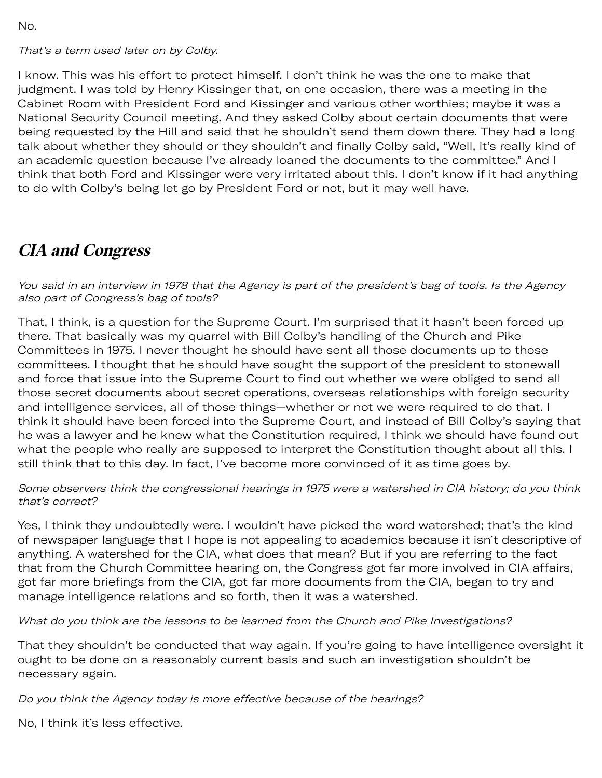No.

That's a term used later on by Colby.

I know. This was his effort to protect himself. I don't think he was the one to make that judgment. I was told by Henry Kissinger that, on one occasion, there was a meeting in the Cabinet Room with President Ford and Kissinger and various other worthies; maybe it was a National Security Council meeting. And they asked Colby about certain documents that were being requested by the Hill and said that he shouldn't send them down there. They had a long talk about whether they should or they shouldn't and finally Colby said, "Well, it's really kind of an academic question because I've already loaned the documents to the committee." And I think that both Ford and Kissinger were very irritated about this. I don't know if it had anything to do with Colby's being let go by President Ford or not, but it may well have.

### **CIA and Congress**

You said in an interview in 1978 that the Agency is part of the president's bag of tools. Is the Agency also part of Congress's bag of tools?

That, I think, is a question for the Supreme Court. I'm surprised that it hasn't been forced up there. That basically was my quarrel with Bill Colby's handling of the Church and Pike Committees in 1975. I never thought he should have sent all those documents up to those committees. I thought that he should have sought the support of the president to stonewall and force that issue into the Supreme Court to find out whether we were obliged to send all those secret documents about secret operations, overseas relationships with foreign security and intelligence services, all of those things—whether or not we were required to do that. I think it should have been forced into the Supreme Court, and instead of Bill Colby's saying that he was a lawyer and he knew what the Constitution required, I think we should have found out what the people who really are supposed to interpret the Constitution thought about all this. I still think that to this day. In fact, I've become more convinced of it as time goes by.

#### Some observers think the congressional hearings in 1975 were a watershed in CIA history; do you think that's correct?

Yes, I think they undoubtedly were. I wouldn't have picked the word watershed; that's the kind of newspaper language that I hope is not appealing to academics because it isn't descriptive of anything. A watershed for the CIA, what does that mean? But if you are referring to the fact that from the Church Committee hearing on, the Congress got far more involved in CIA affairs, got far more briefings from the CIA, got far more documents from the CIA, began to try and manage intelligence relations and so forth, then it was a watershed.

What do you think are the lessons to be learned from the Church and Pike Investigations?

That they shouldn't be conducted that way again. If you're going to have intelligence oversight it ought to be done on a reasonably current basis and such an investigation shouldn't be necessary again.

Do you think the Agency today is more effective because of the hearings?

No, I think it's less effective.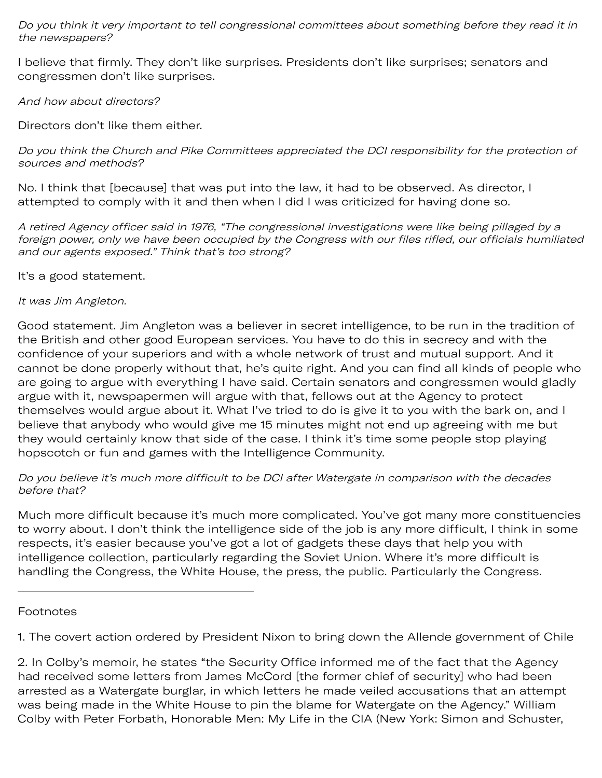Do you think it very important to tell congressional committees about something before they read it in the newspapers?

I believe that firmly. They don't like surprises. Presidents don't like surprises; senators and congressmen don't like surprises.

#### And how about directors?

Directors don't like them either.

Do you think the Church and Pike Committees appreciated the DCI responsibility for the protection of sources and methods?

No. I think that [because] that was put into the law, it had to be observed. As director, I attempted to comply with it and then when I did I was criticized for having done so.

A retired Agency officer said in 1976, "The congressional investigations were like being pillaged by a foreign power, only we have been occupied by the Congress with our files rifled, our officials humiliated and our agents exposed." Think that's too strong?

It's a good statement.

#### It was Jim Angleton.

Good statement. Jim Angleton was a believer in secret intelligence, to be run in the tradition of the British and other good European services. You have to do this in secrecy and with the confidence of your superiors and with a whole network of trust and mutual support. And it cannot be done properly without that, he's quite right. And you can find all kinds of people who are going to argue with everything I have said. Certain senators and congressmen would gladly argue with it, newspapermen will argue with that, fellows out at the Agency to protect themselves would argue about it. What I've tried to do is give it to you with the bark on, and I believe that anybody who would give me 15 minutes might not end up agreeing with me but they would certainly know that side of the case. I think it's time some people stop playing hopscotch or fun and games with the Intelligence Community.

#### Do you believe it's much more difficult to be DCI after Watergate in comparison with the decades before that?

Much more difficult because it's much more complicated. You've got many more constituencies to worry about. I don't think the intelligence side of the job is any more difficult, I think in some respects, it's easier because you've got a lot of gadgets these days that help you with intelligence collection, particularly regarding the Soviet Union. Where it's more difficult is handling the Congress, the White House, the press, the public. Particularly the Congress.

#### Footnotes

<span id="page-21-0"></span>1. The covert action ordered by President Nixon to bring down the Allende government of Chile

<span id="page-21-1"></span>2. In Colby's memoir, he states "the Security Office informed me of the fact that the Agency had received some letters from James McCord [the former chief of security] who had been arrested as a Watergate burglar, in which letters he made veiled accusations that an attempt was being made in the White House to pin the blame for Watergate on the Agency." William Colby with Peter Forbath, Honorable Men: My Life in the CIA (New York: Simon and Schuster,